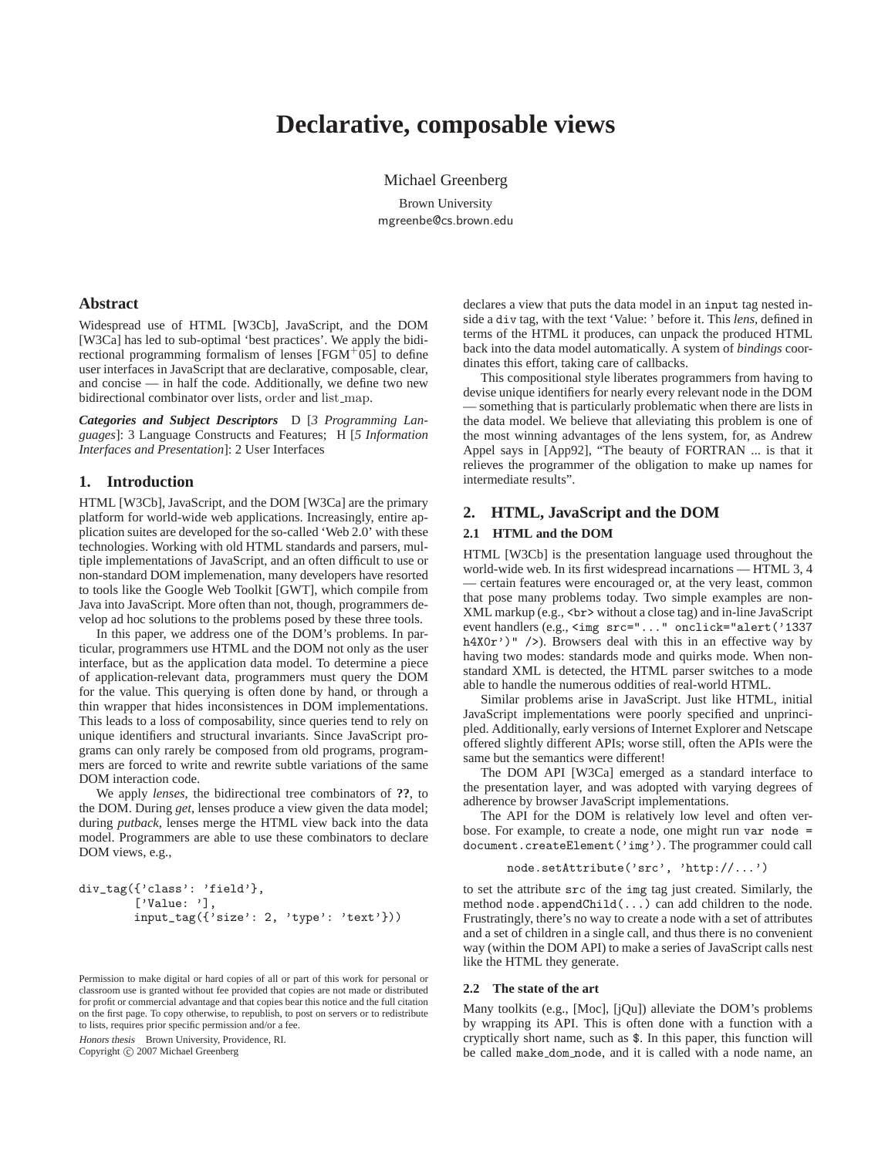# **Declarative, composable views**

Michael Greenberg

Brown University mgreenbe@cs.brown.edu

# **Abstract**

Widespread use of HTML [W3Cb], JavaScript, and the DOM [W3Ca] has led to sub-optimal 'best practices'. We apply the bidirectional programming formalism of lenses  $[FGM<sup>+</sup>05]$  to define user interfaces in JavaScript that are declarative, composable, clear, and concise — in half the code. Additionally, we define two new bidirectional combinator over lists, order and list\_map.

*Categories and Subject Descriptors* D [*3 Programming Languages*]: 3 Language Constructs and Features; H [*5 Information Interfaces and Presentation*]: 2 User Interfaces

# **1. Introduction**

HTML [W3Cb], JavaScript, and the DOM [W3Ca] are the primary platform for world-wide web applications. Increasingly, entire application suites are developed for the so-called 'Web 2.0' with these technologies. Working with old HTML standards and parsers, multiple implementations of JavaScript, and an often difficult to use or non-standard DOM implemenation, many developers have resorted to tools like the Google Web Toolkit [GWT], which compile from Java into JavaScript. More often than not, though, programmers develop ad hoc solutions to the problems posed by these three tools.

In this paper, we address one of the DOM's problems. In particular, programmers use HTML and the DOM not only as the user interface, but as the application data model. To determine a piece of application-relevant data, programmers must query the DOM for the value. This querying is often done by hand, or through a thin wrapper that hides inconsistences in DOM implementations. This leads to a loss of composability, since queries tend to rely on unique identifiers and structural invariants. Since JavaScript programs can only rarely be composed from old programs, programmers are forced to write and rewrite subtle variations of the same DOM interaction code.

We apply *lenses*, the bidirectional tree combinators of **??**, to the DOM. During *get*, lenses produce a view given the data model; during *putback*, lenses merge the HTML view back into the data model. Programmers are able to use these combinators to declare DOM views, e.g.,

```
div_tag({'class': 'field'},
        ['Value: '],
        input_tag({'size': 2, 'type': 'text'}))
```
Permission to make digital or hard copies of all or part of this work for personal or classroom use is granted without fee provided that copies are not made or distributed for profit or commercial advantage and that copies bear this notice and the full citation on the first page. To copy otherwise, to republish, to post on servers or to redistribute to lists, requires prior specific permission and/or a fee.

Honors thesis Brown University, Providence, RI.

Copyright  $\odot$  2007 Michael Greenberg

declares a view that puts the data model in an input tag nested inside a div tag, with the text 'Value: ' before it. This *lens*, defined in terms of the HTML it produces, can unpack the produced HTML back into the data model automatically. A system of *bindings* coordinates this effort, taking care of callbacks.

This compositional style liberates programmers from having to devise unique identifiers for nearly every relevant node in the DOM — something that is particularly problematic when there are lists in the data model. We believe that alleviating this problem is one of the most winning advantages of the lens system, for, as Andrew Appel says in [App92], "The beauty of FORTRAN ... is that it relieves the programmer of the obligation to make up names for intermediate results".

# **2. HTML, JavaScript and the DOM**

### **2.1 HTML and the DOM**

HTML [W3Cb] is the presentation language used throughout the world-wide web. In its first widespread incarnations — HTML 3, 4 — certain features were encouraged or, at the very least, common that pose many problems today. Two simple examples are non-XML markup (e.g.,  $\text{Br}$ ) without a close tag) and in-line JavaScript event handlers (e.g., <img src="..." onclick="alert('1337 h4X0r')" />). Browsers deal with this in an effective way by having two modes: standards mode and quirks mode. When nonstandard XML is detected, the HTML parser switches to a mode able to handle the numerous oddities of real-world HTML.

Similar problems arise in JavaScript. Just like HTML, initial JavaScript implementations were poorly specified and unprincipled. Additionally, early versions of Internet Explorer and Netscape offered slightly different APIs; worse still, often the APIs were the same but the semantics were different!

The DOM API [W3Ca] emerged as a standard interface to the presentation layer, and was adopted with varying degrees of adherence by browser JavaScript implementations.

The API for the DOM is relatively low level and often verbose. For example, to create a node, one might run var node = document.createElement('img'). The programmer could call

```
node.setAttribute('src', 'http://...')
```
to set the attribute src of the img tag just created. Similarly, the method node.appendChild(...) can add children to the node. Frustratingly, there's no way to create a node with a set of attributes and a set of children in a single call, and thus there is no convenient way (within the DOM API) to make a series of JavaScript calls nest like the HTML they generate.

# **2.2 The state of the art**

Many toolkits (e.g., [Moc], [jQu]) alleviate the DOM's problems by wrapping its API. This is often done with a function with a cryptically short name, such as \$. In this paper, this function will be called make dom node, and it is called with a node name, an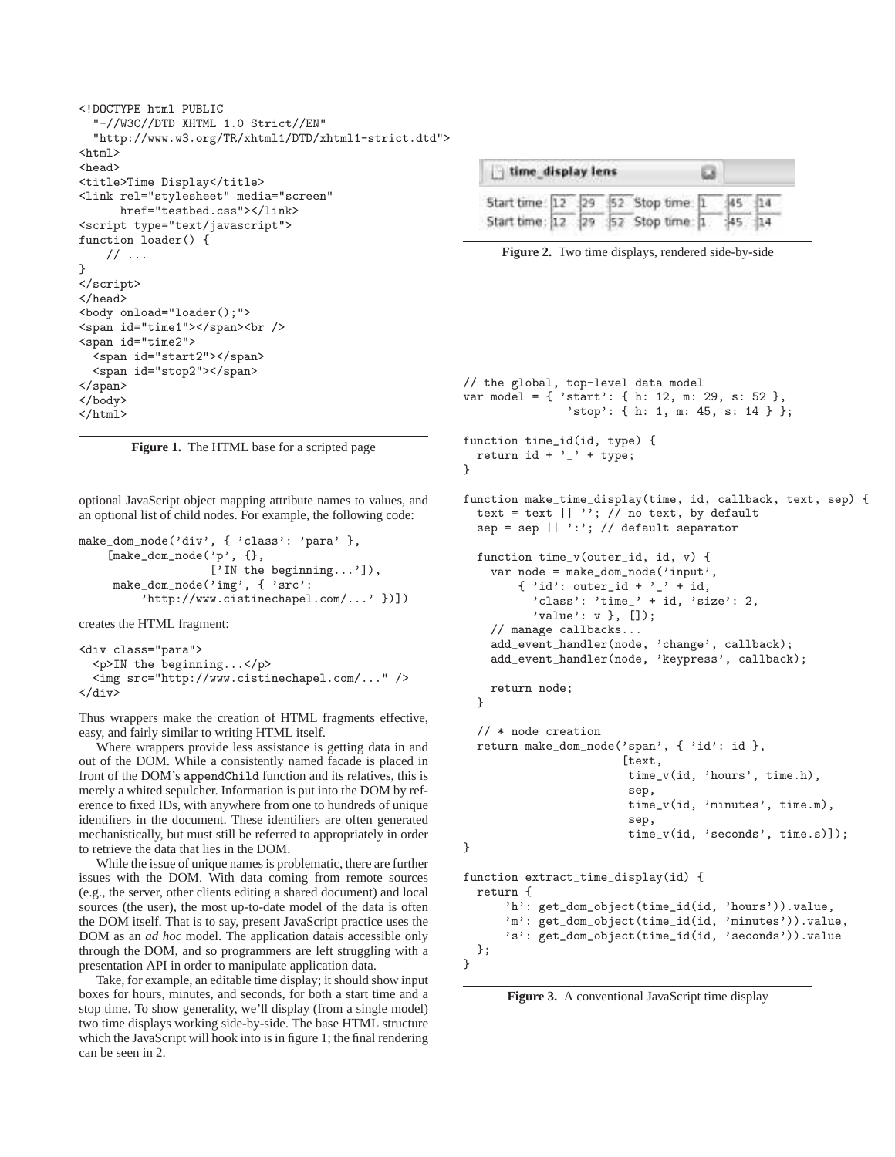```
<!DOCTYPE html PUBLIC
  "-//W3C//DTD XHTML 1.0 Strict//EN"
  "http://www.w3.org/TR/xhtml1/DTD/xhtml1-strict.dtd">
<html>
<head>
<title>Time Display</title>
<link rel="stylesheet" media="screen"
     href="testbed.css"></link>
<script type="text/javascript">
function loader() {
    // ...
}
</script>
</head>
<body onload="loader();">
<span id="time1"></span><br />
<span id="time2">
 <span id="start2"></span>
  <span id="stop2"></span>
</span>
</body>
</html>
```
**Figure 1.** The HTML base for a scripted page

optional JavaScript object mapping attribute names to values, and an optional list of child nodes. For example, the following code:

```
make_dom_node('div', { 'class': 'para' },
    [{\tt make\_dom\_node}('p', \{\},['IN the beginning...']),
     make_dom_node('img', { 'src':
          'http://www.cistinechapel.com/...' })])
```
creates the HTML fragment:

```
<div class="para">
  <p>IN the beginning...</p>
  <img src="http://www.cistinechapel.com/..." />
</div>
```
Thus wrappers make the creation of HTML fragments effective, easy, and fairly similar to writing HTML itself.

Where wrappers provide less assistance is getting data in and out of the DOM. While a consistently named facade is placed in front of the DOM's appendChild function and its relatives, this is merely a whited sepulcher. Information is put into the DOM by reference to fixed IDs, with anywhere from one to hundreds of unique identifiers in the document. These identifiers are often generated mechanistically, but must still be referred to appropriately in order to retrieve the data that lies in the DOM.

While the issue of unique names is problematic, there are further issues with the DOM. With data coming from remote sources (e.g., the server, other clients editing a shared document) and local sources (the user), the most up-to-date model of the data is often the DOM itself. That is to say, present JavaScript practice uses the DOM as an *ad hoc* model. The application datais accessible only through the DOM, and so programmers are left struggling with a presentation API in order to manipulate application data.

Take, for example, an editable time display; it should show input boxes for hours, minutes, and seconds, for both a start time and a stop time. To show generality, we'll display (from a single model) two time displays working side-by-side. The base HTML structure which the JavaScript will hook into is in figure 1; the final rendering can be seen in 2.

| time display lens                       |  |  |  |  |  | منا |  |  |
|-----------------------------------------|--|--|--|--|--|-----|--|--|
| Start time: 12 29 52 Stop time: 1 45 14 |  |  |  |  |  |     |  |  |
| Start time: 12 29 52 Stop time: 1 45    |  |  |  |  |  |     |  |  |

**Figure 2.** Two time displays, rendered side-by-side

```
// the global, top-level data model
var model = { 'start': { h: 12, m: 29, s: 52 },
                'stop': { h: 1, m: 45, s: 14 } };
function time_id(id, type) {
  return id + ' \rightarrow + type;
}
function make_time_display(time, id, callback, text, sep) {
  text = text || \cdot \cdot \cdot || no text, by default
  sep = sep || ':'; // default separator
  function time_v(outer_id, id, v) {
    var node = make_dom_node('input',
        \{ 'id': outer_id + '_' + id,
           'class': 'time_' + id, 'size': 2,
          'value': v }, []);
    // manage callbacks...
    add_event_handler(node, 'change', callback);
    add_event_handler(node, 'keypress', callback);
    return node;
  }
  // * node creation
  return make_dom_node('span', { 'id': id },
                        [text.
                         time_v(id, 'hours', time.h),
                         sep,
                         time_v(id, 'minutes', time.m),
                         sep,
                         time_v(id, 'seconds', time.s)]);
}
function extract_time_display(id) {
  return {
      'h': get_dom_object(time_id(id, 'hours')).value,
      'm': get_dom_object(time_id(id, 'minutes')).value,
      's': get_dom_object(time_id(id, 'seconds')).value
  };
}
```
**Figure 3.** A conventional JavaScript time display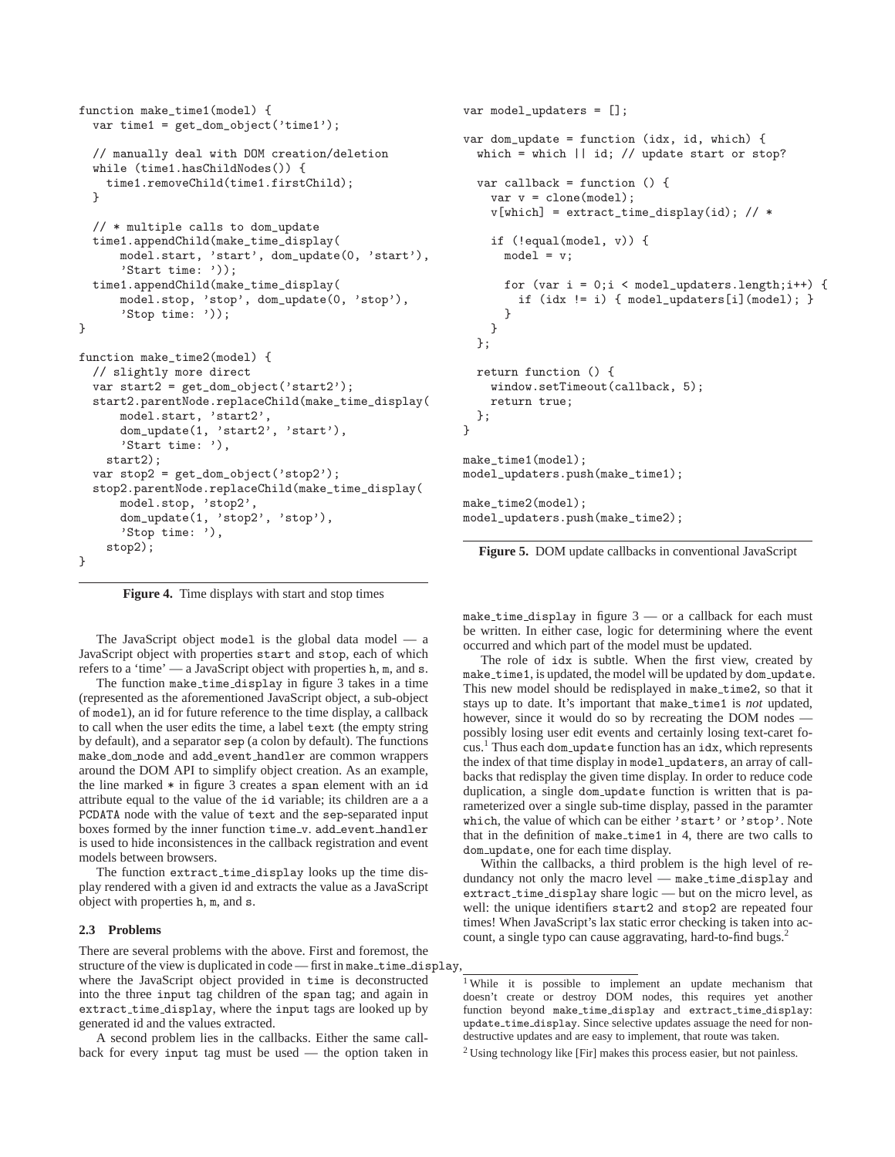```
function make_time1(model) {
 var time1 = get_dom_object('time1');
  // manually deal with DOM creation/deletion
 while (time1.hasChildNodes()) {
    time1.removeChild(time1.firstChild);
  }
 // * multiple calls to dom_update
 time1.appendChild(make_time_display(
      model.start, 'start', dom_update(0, 'start'),
      'Start time: '));
  time1.appendChild(make_time_display(
      model.stop, 'stop', dom_update(0, 'stop'),
      'Stop time: '));
}
function make_time2(model) {
 // slightly more direct
 var start2 = get_dom_object('start2');
 start2.parentNode.replaceChild(make_time_display(
      model.start, 'start2',
      dom_update(1, 'start2', 'start'),
      'Start time: '),
   start2);
 var stop2 = get_dom_object('stop2');
  stop2.parentNode.replaceChild(make_time_display(
      model.stop, 'stop2',
      dom_update(1, 'stop2', 'stop'),
      'Stop time: '),
    stop2);
}
```
**Figure 4.** Time displays with start and stop times

The JavaScript object model is the global data model — a JavaScript object with properties start and stop, each of which refers to a 'time' — a JavaScript object with properties h, m, and s.

The function make time display in figure 3 takes in a time (represented as the aforementioned JavaScript object, a sub-object of model), an id for future reference to the time display, a callback to call when the user edits the time, a label text (the empty string by default), and a separator sep (a colon by default). The functions make dom node and add event handler are common wrappers around the DOM API to simplify object creation. As an example, the line marked \* in figure 3 creates a span element with an id attribute equal to the value of the id variable; its children are a a PCDATA node with the value of text and the sep-separated input boxes formed by the inner function time\_v. add\_event\_handler is used to hide inconsistences in the callback registration and event models between browsers.

The function extract time display looks up the time display rendered with a given id and extracts the value as a JavaScript object with properties h, m, and s.

# **2.3 Problems**

There are several problems with the above. First and foremost, the structure of the view is duplicated in code — first in make time display, where the JavaScript object provided in time is deconstructed into the three input tag children of the span tag; and again in extract time display, where the input tags are looked up by generated id and the values extracted.

A second problem lies in the callbacks. Either the same callback for every input tag must be used — the option taken in

```
var model_updaters = [];
var dom_update = function (idx, id, which) {
 which = which || id; // update start or stop?
  var callback = function () {
    var y = clone(model):
    v[which] = extract_time-display(id); // *if (!equal(model, v)) {
      model = v;for (var i = 0; i \leq model_updaters.length;i++) {
        if (idx != i) { model_updaters[i](model); }
      }
   }
  };
  return function () {
    window.setTimeout(callback, 5);
    return true;
 };
}
make_time1(model);
model_updaters.push(make_time1);
make_time2(model);
model_updaters.push(make_time2);
```
**Figure 5.** DOM update callbacks in conventional JavaScript

make time display in figure  $3$  — or a callback for each must be written. In either case, logic for determining where the event occurred and which part of the model must be updated.

The role of  $idx$  is subtle. When the first view, created by make time1, is updated, the model will be updated by dom update. This new model should be redisplayed in make time2, so that it stays up to date. It's important that make time1 is *not* updated, however, since it would do so by recreating the DOM nodes possibly losing user edit events and certainly losing text-caret fo- $\text{cus.}^1$  Thus each dom update function has an idx, which represents the index of that time display in model updaters, an array of callbacks that redisplay the given time display. In order to reduce code duplication, a single dom update function is written that is parameterized over a single sub-time display, passed in the paramter which, the value of which can be either 'start' or 'stop'. Note that in the definition of make time1 in 4, there are two calls to dom update, one for each time display.

Within the callbacks, a third problem is the high level of redundancy not only the macro level — make time display and extract time display share logic — but on the micro level, as well: the unique identifiers start2 and stop2 are repeated four times! When JavaScript's lax static error checking is taken into account, a single typo can cause aggravating, hard-to-find bugs.<sup>2</sup>

<sup>&</sup>lt;sup>1</sup>While it is possible to implement an update mechanism that doesn't create or destroy DOM nodes, this requires yet another function beyond make time display and extract time display: update time display. Since selective updates assuage the need for nondestructive updates and are easy to implement, that route was taken.

<sup>&</sup>lt;sup>2</sup> Using technology like [Fir] makes this process easier, but not painless.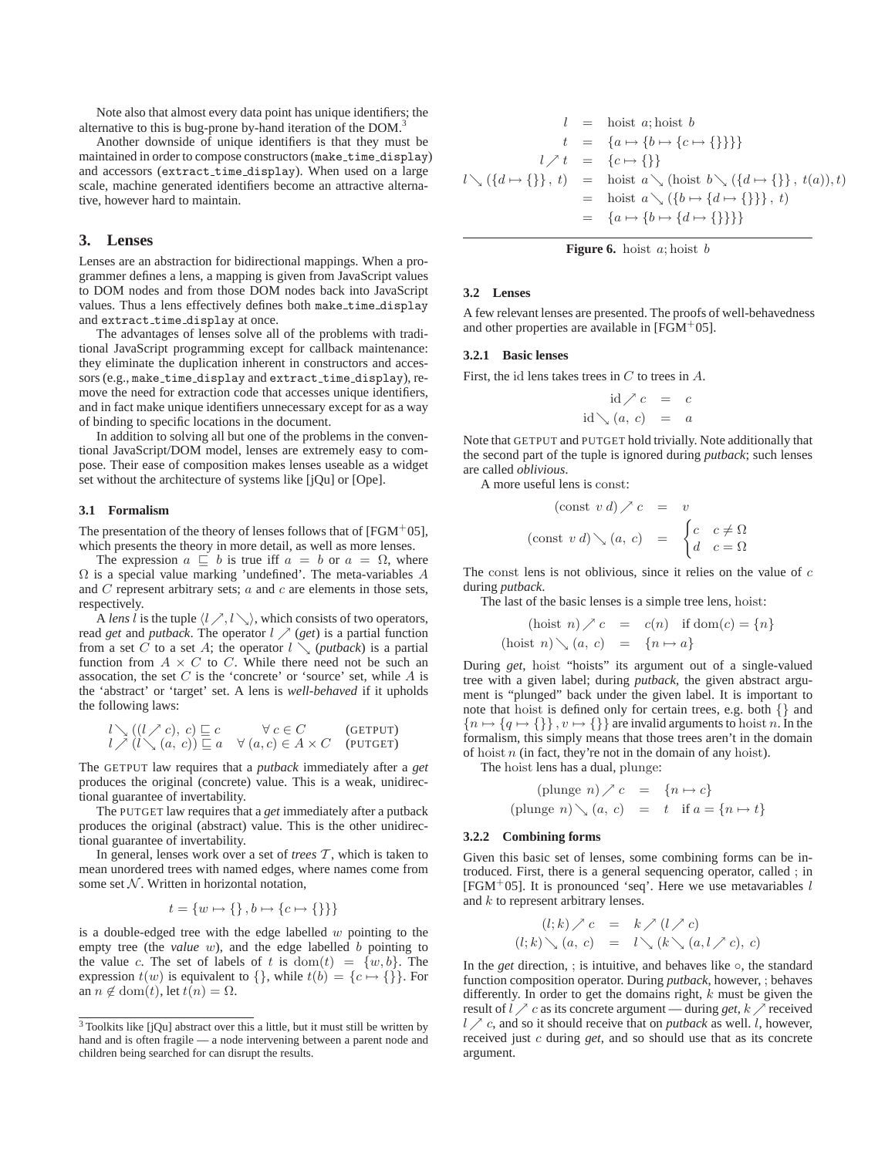Note also that almost every data point has unique identifiers; the alternative to this is bug-prone by-hand iteration of the DOM.<sup>3</sup>

Another downside of unique identifiers is that they must be maintained in order to compose constructors (make time display) and accessors (extract time display). When used on a large scale, machine generated identifiers become an attractive alternative, however hard to maintain.

# **3. Lenses**

Lenses are an abstraction for bidirectional mappings. When a programmer defines a lens, a mapping is given from JavaScript values to DOM nodes and from those DOM nodes back into JavaScript values. Thus a lens effectively defines both make time display and extract time display at once.

The advantages of lenses solve all of the problems with traditional JavaScript programming except for callback maintenance: they eliminate the duplication inherent in constructors and accessors (e.g., make time display and extract time display), remove the need for extraction code that accesses unique identifiers, and in fact make unique identifiers unnecessary except for as a way of binding to specific locations in the document.

In addition to solving all but one of the problems in the conventional JavaScript/DOM model, lenses are extremely easy to compose. Their ease of composition makes lenses useable as a widget set without the architecture of systems like [jQu] or [Ope].

## **3.1 Formalism**

The presentation of the theory of lenses follows that of  $[FGM<sup>+</sup>05]$ , which presents the theory in more detail, as well as more lenses.

The expression  $a \subseteq b$  is true iff  $a = b$  or  $a = \Omega$ , where  $\Omega$  is a special value marking 'undefined'. The meta-variables  $A$ and  $C$  represent arbitrary sets;  $a$  and  $c$  are elements in those sets, respectively.

A *lens* l is the tuple  $\langle l \nearrow, l \searrow \rangle$ , which consists of two operators, read *get* and *putback*. The operator  $l \nearrow (get)$  is a partial function from a set C to a set A; the operator  $l \setminus (putback)$  is a partial function from  $A \times C$  to C. While there need not be such an assocation, the set  $C$  is the 'concrete' or 'source' set, while  $A$  is the 'abstract' or 'target' set. A lens is *well-behaved* if it upholds the following laws:

$$
l \searrow ((l \nearrow c), c) \sqsubseteq c \qquad \forall c \in C \qquad \text{(GETPUT)}
$$
  

$$
l \nearrow (l \searrow (a, c)) \sqsubseteq a \qquad \forall (a, c) \in A \times C \qquad \text{(PUTGET)}
$$

The GETPUT law requires that a *putback* immediately after a *get* produces the original (concrete) value. This is a weak, unidirectional guarantee of invertability.

The PUTGET law requires that a *get* immediately after a putback produces the original (abstract) value. This is the other unidirectional guarantee of invertability.

In general, lenses work over a set of *trees*  $T$ , which is taken to mean unordered trees with named edges, where names come from some set  $N$ . Written in horizontal notation,

$$
t = \{w \mapsto \{\}, b \mapsto \{c \mapsto \{\}\}\}
$$

is a double-edged tree with the edge labelled  $w$  pointing to the empty tree (the *value w*), and the edge labelled b pointing to the value c. The set of labels of t is dom $(t) = \{w, b\}$ . The expression  $t(w)$  is equivalent to {}, while  $t(b) = \{c \mapsto \{\}\}\.$  For an  $n \notin \text{dom}(t)$ , let  $t(n) = \Omega$ .

$$
l = \text{hoist } a; \text{hoist } b
$$
  
\n
$$
t = \{a \mapsto \{b \mapsto \{c \mapsto \{\}\}\}\}
$$
  
\n
$$
l \nearrow t = \{c \mapsto \{\}\}
$$
  
\n
$$
l \searrow (\{d \mapsto \{\}\}, t) = \text{hoist } a \searrow (\text{hoist } b \searrow (\{d \mapsto \{\}\}, t(a)), t)
$$
  
\n
$$
= \text{hoist } a \searrow (\{b \mapsto \{d \mapsto \{\}\}\}, t)
$$
  
\n
$$
= \{a \mapsto \{b \mapsto \{d \mapsto \{\}\}\}\}
$$



#### **3.2 Lenses**

A few relevant lenses are presented. The proofs of well-behavedness and other properties are available in  $[FGM^+05]$ .

## **3.2.1 Basic lenses**

First, the id lens takes trees in C to trees in A.

$$
\mathrm{id} \nearrow c = c
$$
  

$$
\mathrm{id} \searrow (a, c) = a
$$

Note that GETPUT and PUTGET hold trivially. Note additionally that the second part of the tuple is ignored during *putback*; such lenses are called *oblivious*.

A more useful lens is const:

$$
(\text{const } v \, d) \nearrow c = v
$$

$$
(\text{const } v \, d) \searrow (a, c) = \begin{cases} c & c \neq \Omega \\ d & c = \Omega \end{cases}
$$

The const lens is not oblivious, since it relies on the value of  $c$ during *putback*.

The last of the basic lenses is a simple tree lens, hoist:

(hoist *n*) 
$$
\nearrow
$$
 *c* = *c*(*n*) if dom(*c*) = {*n*}  
noist *n*)  $\searrow$  (*a*, *c*) = {*n*  $\mapsto$  *a*}

During *get*, hoist "hoists" its argument out of a single-valued tree with a given label; during *putback*, the given abstract argument is "plunged" back under the given label. It is important to note that hoist is defined only for certain trees, e.g. both {} and  $\{n \mapsto \{q \mapsto \{\}\}\}$ ,  $v \mapsto \{\}\}\$  are invalid arguments to hoist n. In the formalism, this simply means that those trees aren't in the domain of hoist  $n$  (in fact, they're not in the domain of any hoist).

The hoist lens has a dual, plunge:

$$
\begin{array}{rcl}\n\text{(plunge } n) \nearrow c & = & \{n \mapsto c\} \\
\text{(plunge } n) \searrow (a, c) & = & t \quad \text{if } a = \{n \mapsto t\}\n\end{array}
$$

#### **3.2.2 Combining forms**

Given this basic set of lenses, some combining forms can be introduced. First, there is a general sequencing operator, called ; in [FGM<sup>+</sup>05]. It is pronounced 'seq'. Here we use metavariables l and k to represent arbitrary lenses.

$$
(l;k) \nearrow c = k \nearrow (l \nearrow c)
$$
  

$$
(l;k) \searrow (a,c) = l \searrow (k \searrow (a,l \nearrow c), c)
$$

In the *get* direction, ; is intuitive, and behaves like ◦, the standard function composition operator. During *putback*, however, ; behaves differently. In order to get the domains right,  $k$  must be given the result of  $l \nearrow c$  as its concrete argument — during *get*,  $k \nearrow$  received  $l \nearrow c$ , and so it should receive that on *putback* as well. *l*, however, received just c during *get*, and so should use that as its concrete argument.

 $3$  Toolkits like  $[iQu]$  abstract over this a little, but it must still be written by hand and is often fragile — a node intervening between a parent node and children being searched for can disrupt the results.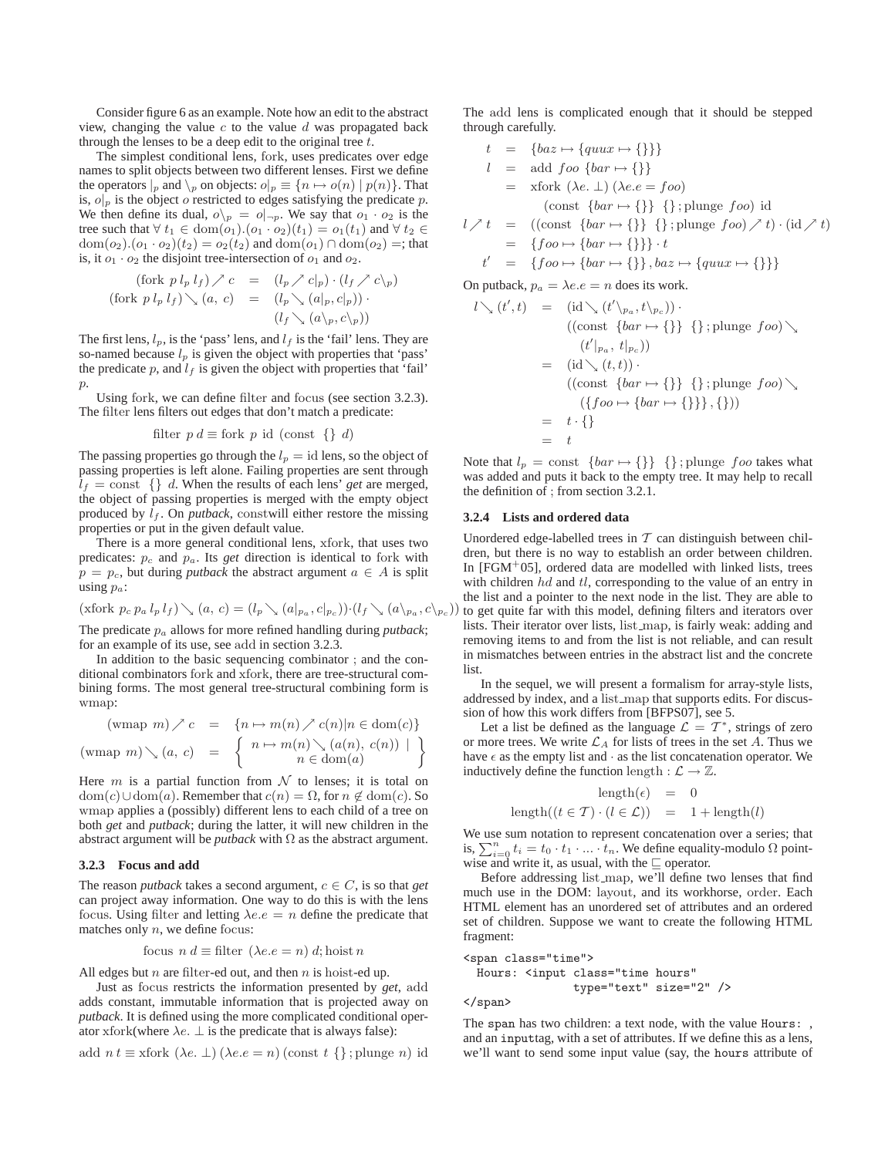Consider figure 6 as an example. Note how an edit to the abstract view, changing the value  $c$  to the value  $d$  was propagated back through the lenses to be a deep edit to the original tree  $t$ .

The simplest conditional lens, fork, uses predicates over edge names to split objects between two different lenses. First we define the operators  $|_p$  and  $\setminus_p$  on objects:  $o|_p \equiv \{n \mapsto o(n) \mid p(n)\}.$  That is,  $o|_p$  is the object *o* restricted to edges satisfying the predicate p. We then define its dual,  $o|_p = o|_{\neg p}$ . We say that  $o_1 \cdot o_2$  is the tree such that  $\forall t_1 \in \text{dom}(o_1) \cdot (o_1 \cdot o_2)(t_1) = o_1(t_1)$  and  $\forall t_2 \in$ dom $(o_2).(o_1 \cdot o_2)(t_2) = o_2(t_2)$  and dom $(o_1) \cap dom(o_2) =$ ; that is, it  $o_1 \cdot o_2$  the disjoint tree-intersection of  $o_1$  and  $o_2$ .

$$
(\text{fork } p \, l_p \, l_f) \nearrow c = (l_p \nearrow c|_p) \cdot (l_f \nearrow c|_p)
$$
\n
$$
(\text{fork } p \, l_p \, l_f) \searrow (a, c) = (l_p \searrow (a|_p, c|_p)) \cdot (l_f \searrow (a \searrow p, c \searrow p))
$$

The first lens,  $l_p$ , is the 'pass' lens, and  $l_f$  is the 'fail' lens. They are so-named because  $l_p$  is given the object with properties that 'pass' the predicate p, and  $l_f$  is given the object with properties that 'fail'  $p$ .

Using fork, we can define filter and focus (see section 3.2.3). The filter lens filters out edges that don't match a predicate:

filter 
$$
p d \equiv
$$
fork  $p$  id (const  $\{\}$  d)

The passing properties go through the  $l_p =$  id lens, so the object of passing properties is left alone. Failing properties are sent through  $l_f$  = const  $\{\}\,d$ . When the results of each lens' *get* are merged, the object of passing properties is merged with the empty object produced by  $l_f$ . On *putback*, constwill either restore the missing properties or put in the given default value.

There is a more general conditional lens, xfork, that uses two predicates:  $p_c$  and  $p_a$ . Its *get* direction is identical to fork with  $p = p_c$ , but during *putback* the abstract argument  $a \in A$  is split using  $p_a$ :

$$
(\text{xfork } p_c \, p_a \, l_p \, l_f) \searrow (a, c) = (l_p \searrow (a|_{p_a}, c|_{p_c})) \cdot (l_f \searrow (a \searrow_{p_a}, c \searrow_{p_c}))
$$

The predicate  $p_a$  allows for more refined handling during *putback*; for an example of its use, see add in section 3.2.3.

In addition to the basic sequencing combinator ; and the conditional combinators fork and xfork, there are tree-structural combining forms. The most general tree-structural combining form is wmap:

$$
(\text{wmap } m) \nearrow c = \{n \mapsto m(n) \nearrow c(n)|n \in \text{dom}(c)\}
$$

$$
(\text{wmap } m) \searrow (a, c) = \left\{\n\begin{array}{c}\n n \mapsto m(n) \searrow (a(n), c(n)) \mid \\
 n \in \text{dom}(a)\n\end{array}\n\right\}
$$

Here m is a partial function from  $\mathcal N$  to lenses; it is total on  $dom(c) \cup dom(a)$ . Remember that  $c(n) = \Omega$ , for  $n \notin dom(c)$ . So wmap applies a (possibly) different lens to each child of a tree on both *get* and *putback*; during the latter, it will new children in the abstract argument will be *putback* with  $\Omega$  as the abstract argument.

#### **3.2.3 Focus and add**

The reason *putback* takes a second argument,  $c \in C$ , is so that *get* can project away information. One way to do this is with the lens focus. Using filter and letting  $\lambda e.e = n$  define the predicate that matches only  $n$ , we define focus:

focus 
$$
n d \equiv
$$
 filter ( $\lambda e.e = n d$ ), hoist n

All edges but  $n$  are filter-ed out, and then  $n$  is hoist-ed up.

Just as focus restricts the information presented by *get*, add adds constant, immutable information that is projected away on *putback*. It is defined using the more complicated conditional operator xfork(where  $\lambda e$ .  $\perp$  is the predicate that is always false):

add 
$$
nt \equiv
$$
 xfork ( $\lambda e$ .  $\bot$ ) ( $\lambda e.e = n$ ) (const  $t$  {};  $\exists$  ;  $\text{plunge } n$ ) id

The add lens is complicated enough that it should be stepped through carefully.

$$
t = \{baz \mapsto \{quux \mapsto \{\}\}\
$$
  
\n
$$
l = add \{bo \{bar \mapsto \{\}\}\
$$
  
\n
$$
= xfork \ (\lambda e. \ \bot) \ (\lambda e.e = foo)
$$
  
\n
$$
(const \{bar \mapsto \{\}\} \ \{\}; \text{plunge} \ foo) \ id
$$
  
\n
$$
l \nearrow t = ((const \{bar \mapsto \{\}\} \ \{\}; \text{plunge} \ foo) \nearrow t) \cdot (id \nearrow t)
$$
  
\n
$$
= \{foo \mapsto \{bar \mapsto \{\}\} \cdot t
$$
  
\n
$$
t' = \{foo \mapsto \{bar \mapsto \{\}, baz \mapsto \{quux \mapsto \{\}\}\}
$$

On putback,  $p_a = \lambda e.e = n$  does its work.

$$
l \setminus (t',t) = (\mathrm{id} \setminus (t' \setminus p_a, t \setminus p_c)) \cdot
$$
  
\n((const {bar \mapsto {}}) {}; plunge  $foo$ )\searrow  
\n
$$
(t' \vert p_a, t \vert p_c))
$$
  
\n
$$
= (\mathrm{id} \setminus (t,t)) \cdot
$$
  
\n((const {bar \mapsto {}} \setminus {}); plunge  $foo$ )\searrow  
\n({ $foo \mapsto {bar \mapsto {}}} \setminus {}); plunge  $foo$ )\searrow  
\n
$$
= t \cdot {};
$$$ 

Note that  $l_p = \text{const} \ \{bar\} \rightarrow \{\} \ \{ \}$ ; plunge foo takes what was added and puts it back to the empty tree. It may help to recall the definition of ; from section 3.2.1.

#### **3.2.4 Lists and ordered data**

Unordered edge-labelled trees in  $T$  can distinguish between children, but there is no way to establish an order between children. In  $[FGM^+05]$ , ordered data are modelled with linked lists, trees with children  $hd$  and  $tl$ , corresponding to the value of an entry in the list and a pointer to the next node in the list. They are able to to get quite far with this model, defining filters and iterators over lists. Their iterator over lists, list map, is fairly weak: adding and removing items to and from the list is not reliable, and can result in mismatches between entries in the abstract list and the concrete list.

In the sequel, we will present a formalism for array-style lists, addressed by index, and a list map that supports edits. For discussion of how this work differs from [BFPS07], see 5.

Let a list be defined as the language  $\mathcal{L} = \mathcal{T}^*$ , strings of zero or more trees. We write  $\mathcal{L}_A$  for lists of trees in the set A. Thus we have  $\epsilon$  as the empty list and  $\cdot$  as the list concatenation operator. We inductively define the function length :  $\mathcal{L} \rightarrow \mathbb{Z}$ .

$$
\begin{array}{rcl} \text{length}(\epsilon) & = & 0 \\ \text{length}((t \in \mathcal{T}) \cdot (l \in \mathcal{L})) & = & 1 + \text{length}(l) \end{array}
$$

We use sum notation to represent concatenation over a series; that is,  $\sum_{i=0}^{n} t_i = t_0 \cdot t_1 \cdot ... \cdot t_n$ . We define equality-modulo  $\Omega$  pointwise and write it, as usual, with the ⊑ operator.

Before addressing list map, we'll define two lenses that find much use in the DOM: layout, and its workhorse, order. Each HTML element has an unordered set of attributes and an ordered set of children. Suppose we want to create the following HTML fragment:

```
<span class="time">
 Hours: <input class="time hours"
                type="text" size="2" />
```
#### </span>

The span has two children: a text node, with the value Hours: , and an inputtag, with a set of attributes. If we define this as a lens, we'll want to send some input value (say, the hours attribute of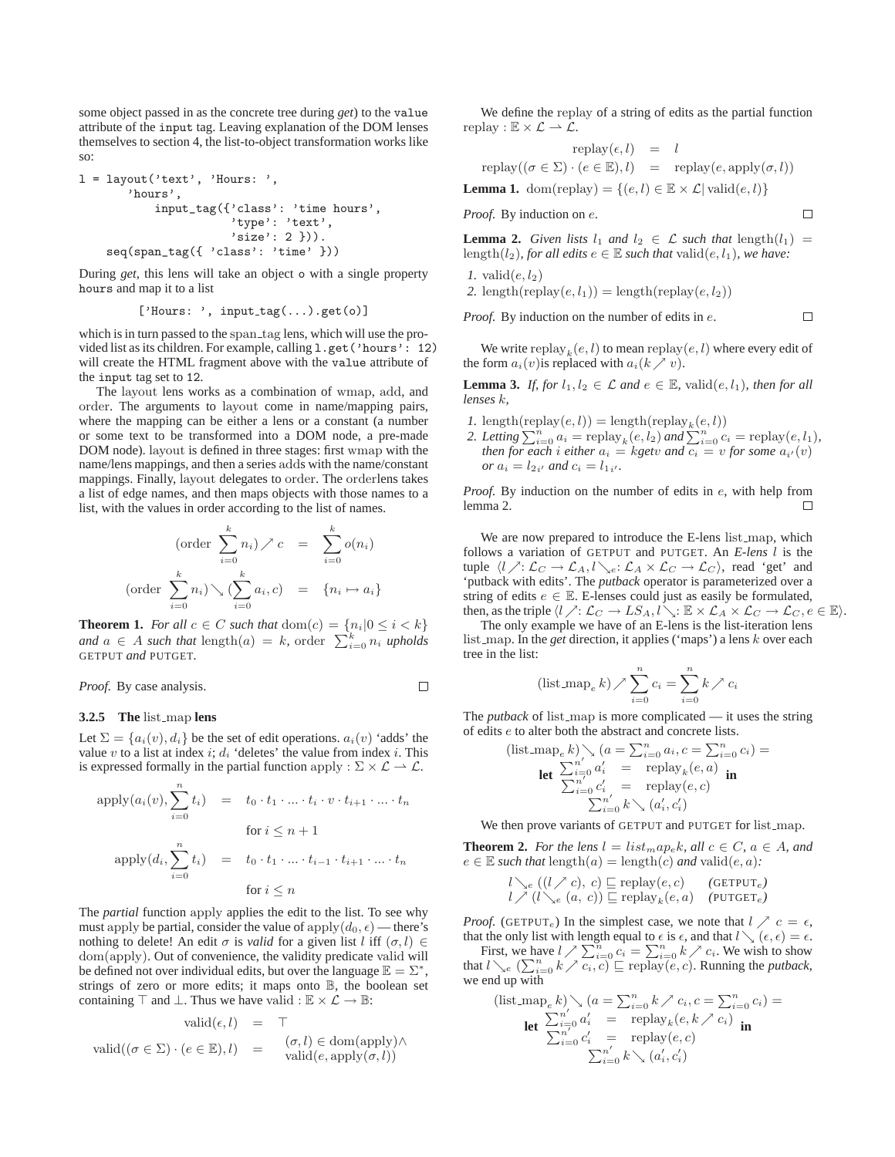some object passed in as the concrete tree during *get*) to the value attribute of the input tag. Leaving explanation of the DOM lenses themselves to section 4, the list-to-object transformation works like so:

l = layout('text', 'Hours: ', 'hours', input\_tag({'class': 'time hours', 'type': 'text', 'size': 2 })). seq(span\_tag({ 'class': 'time' }))

During *get*, this lens will take an object o with a single property hours and map it to a list

$$
['Hours: ', input-tag(…).get(o)]
$$

which is in turn passed to the span\_tag lens, which will use the provided list as its children. For example, calling  $1.get('hours': 12)$ will create the HTML fragment above with the value attribute of the input tag set to 12.

The layout lens works as a combination of wmap, add, and order. The arguments to layout come in name/mapping pairs, where the mapping can be either a lens or a constant (a number or some text to be transformed into a DOM node, a pre-made DOM node). layout is defined in three stages: first wmap with the name/lens mappings, and then a series adds with the name/constant mappings. Finally, layout delegates to order. The orderlens takes a list of edge names, and then maps objects with those names to a list, with the values in order according to the list of names.

$$
(\text{order } \sum_{i=0}^{k} n_i) \nearrow c = \sum_{i=0}^{k} o(n_i)
$$
  

$$
(\text{order } \sum_{i=0}^{k} n_i) \searrow (\sum_{i=0}^{k} a_i, c) = \{n_i \mapsto a_i\}
$$

**Theorem 1.** *For all*  $c \in C$  *such that*  $dom(c) = \{n_i | 0 \le i \le k\}$ *and*  $a \in A$  *such that*  $\text{length}(a) = k$ , order  $\sum_{i=0}^{k} n_i$  *upholds* GETPUT *and* PUTGET*.*

*Proof.* By case analysis.

#### **3.2.5 The** list map **lens**

Let  $\Sigma = \{a_i(v), d_i\}$  be the set of edit operations.  $a_i(v)$  'adds' the value v to a list at index i;  $d_i$  'deletes' the value from index i. This is expressed formally in the partial function apply :  $\Sigma \times \mathcal{L} \rightarrow \mathcal{L}$ .

$$
\operatorname{apply}(a_i(v), \sum_{i=0}^n t_i) = t_0 \cdot t_1 \cdot \ldots \cdot t_i \cdot v \cdot t_{i+1} \cdot \ldots \cdot t_n
$$
  
\n
$$
\text{for } i \leq n+1
$$
  
\n
$$
\operatorname{apply}(d_i, \sum_{i=0}^n t_i) = t_0 \cdot t_1 \cdot \ldots \cdot t_{i-1} \cdot t_{i+1} \cdot \ldots \cdot t_n
$$
  
\n
$$
\text{for } i \leq n
$$

The *partial* function apply applies the edit to the list. To see why must apply be partial, consider the value of apply $(d_0, \epsilon)$  — there's nothing to delete! An edit  $\sigma$  is *valid* for a given list l iff  $(\sigma, l) \in$ dom(apply). Out of convenience, the validity predicate valid will be defined not over individual edits, but over the language  $\mathbb{E} = \Sigma^*$ , strings of zero or more edits; it maps onto B, the boolean set containing  $\top$  and  $\bot$ . Thus we have valid :  $\mathbb{E} \times \mathcal{L} \to \mathbb{B}$ :

$$
\text{valid}(\epsilon, l) = \top
$$
  
 
$$
\text{valid}((\sigma \in \Sigma) \cdot (e \in \mathbb{E}), l) = (\sigma, l) \in \text{dom}(\text{apply}) \wedge
$$
  
 
$$
\text{valid}(e, \text{apply}(\sigma, l))
$$

We define the replay of a string of edits as the partial function replay :  $\mathbb{E} \times \mathcal{L} \rightarrow \mathcal{L}$ .

$$
replay(\epsilon, l) = l
$$

 $replay((\sigma \in \Sigma) \cdot (e \in \mathbb{E}), l) = replay(e, apply(\sigma, l))$ 

**Lemma 1.** dom(replay) =  $\{(e, l) \in \mathbb{E} \times \mathcal{L} | \text{valid}(e, l)\}\)$ 

*Proof.* By induction on e.

*I* valid $(e, l_0)$ 

 $\Box$ 

**Lemma 2.** *Given lists*  $l_1$  *and*  $l_2 \in \mathcal{L}$  *such that* length $(l_1)$  = length( $l_2$ )*, for all edits*  $e \in \mathbb{E}$  *such that* valid( $e$ ,  $l_1$ )*, we have:* 

2. length(replay
$$
(e, l_1)
$$
) = length(replay $(e, l_2)$ )

*Proof.* By induction on the number of edits in  $e$ .

We write  $\mathrm{replay}_{k}(e, l)$  to mean  $\mathrm{replay}(e, l)$  where every edit of the form  $a_i(v)$  is replaced with  $a_i(k \nearrow v)$ .

**Lemma 3.** *If, for*  $l_1, l_2 \in \mathcal{L}$  *and*  $e \in \mathbb{E}$ *,* valid $(e, l_1)$ *, then for all lenses* k*,*

- *1.* length(replay $(e, l)$ ) = length(replay<sub>k</sub> $(e, l)$ )
- 2. Letting  $\sum_{i=0}^{n} a_i = \text{replay}_k(e, l_2)$  and  $\sum_{i=0}^{n} c_i = \text{replay}(e, l_1)$ *, then for each i either*  $a_i = k$ *getv and*  $c_i = v$  *for some*  $a_{i'}(v)$ *or*  $a_i = l_{2i'}$  and  $c_i = l_{1i'}$ .

*Proof.* By induction on the number of edits in e, with help from lemma 2.  $\Box$ 

We are now prepared to introduce the E-lens list map, which follows a variation of GETPUT and PUTGET. An *E-lens* l is the tuple  $\langle l \nearrow : \mathcal{L}_C \to \mathcal{L}_A, l \searrow_e: \mathcal{L}_A \times \mathcal{L}_C \to \mathcal{L}_C \rangle$ , read 'get' and 'putback with edits'. The *putback* operator is parameterized over a string of edits  $e \in \mathbb{E}$ . E-lenses could just as easily be formulated, then, as the triple  $\langle l \nearrow : \mathcal{L}_C \to \mathit{LS}_A, l \searrow : \mathbb{E} \times \mathcal{L}_A \times \mathcal{L}_C \to \mathcal{L}_C, e \in \mathbb{E} \rangle.$ 

The only example we have of an E-lens is the list-iteration lens list map. In the *get* direction, it applies ('maps') a lens k over each tree in the list:

$$
(\text{list\_map}_e k) \nearrow \sum_{i=0}^n c_i = \sum_{i=0}^n k \nearrow c_i
$$

The *putback* of list\_map is more complicated — it uses the string of edits e to alter both the abstract and concrete lists.

$$
(\text{list\_map}_e k) \setminus (a = \sum_{i=0}^n a_i, c = \sum_{i=0}^n c_i) =
$$
\n
$$
\text{let } \sum_{i=0}^{n'} a'_i = \text{ replay}_k(e, a) \text{ in}
$$
\n
$$
\sum_{i=0}^{n'} c'_i = \text{ replay}(e, c)
$$
\n
$$
\sum_{i=0}^{n'} k \setminus (a'_i, c'_i)
$$

We then prove variants of GETPUT and PUTGET for list\_map.

**Theorem 2.** For the lens  $l = list_m a p_e k$ , all  $c \in C$ ,  $a \in A$ , and  $e \in \mathbb{E}$  *such that* length $(a) = \text{length}(c)$  *and* valid $(e, a)$ *:* 

$$
l_{\searrow e}((l \nearrow c), c) \sqsubseteq \text{replay}(e, c) \qquad (\text{GETPUT}_e)
$$
  

$$
l \nearrow (l_{\searrow e}(a, c)) \sqsubseteq \text{replay}_k(e, a) \qquad (\text{PUTGET}_e)
$$

*Proof.* (GETPUT<sub>e</sub>) In the simplest case, we note that  $l \nearrow c = \epsilon$ , that the only list with length equal to  $\epsilon$  is  $\epsilon$ , and that  $l \searrow (\epsilon, \epsilon) = \epsilon$ .

First, we have  $l \nearrow \sum_{i=0}^{n} c_i = \sum_{i=0}^{n} k \nearrow c_i$ . We wish to show that  $l \searrow_e ( \sum_{i=0}^n k \nearrow c_i, c) \sqsubseteq \text{replay}(e, c)$ . Running the *putback*, we end up with

$$
(\text{list\_map}_e k) \setminus (a = \sum_{i=0}^n k \nearrow c_i, c = \sum_{i=0}^n c_i) =
$$
\n
$$
\text{let } \frac{\sum_{i=0}^{n'} a'_i}{\sum_{i=0}^{n'} c'_i} = \text{ replay}(e, c)
$$
\n
$$
\sum_{i=0}^{n'} k \searrow (a'_i, c'_i)
$$

$$
\Box
$$

 $\Box$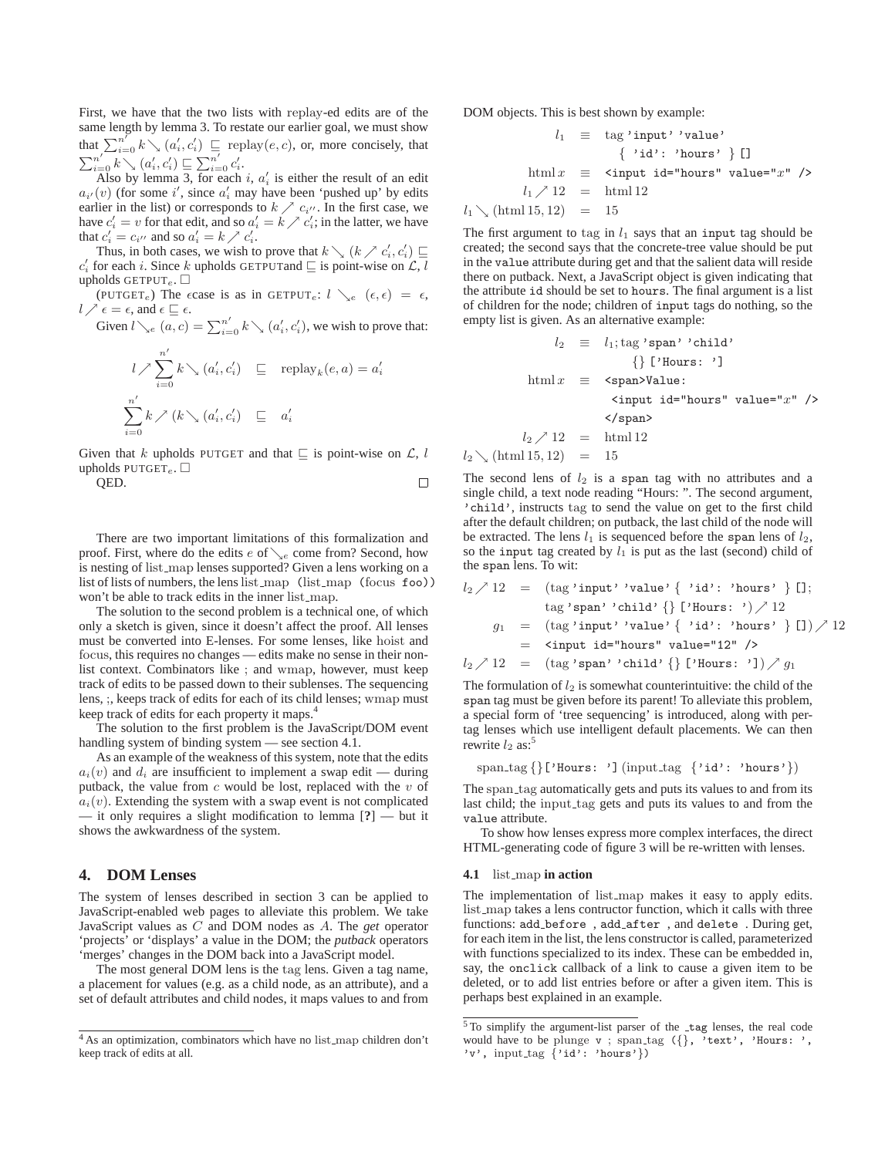First, we have that the two lists with replay-ed edits are of the same length by lemma 3. To restate our earlier goal, we must show that  $\sum_{i=0}^{n'} k \setminus (a'_i, c'_i) \sqsubseteq \text{replay}(e, c)$ , or, more concisely, that  $\sum_{i=0}^{n'} k \searrow (a'_i, c'_i) \sqsubseteq \sum_{i=0}^{n'} c'_i.$ 

Also by lemma 3, for each i,  $a'_i$  is either the result of an edit  $a_{i'}(v)$  (for some i', since  $a'_{i}$  may have been 'pushed up' by edits earlier in the list) or corresponds to  $k \nearrow c_{i''}$ . In the first case, we have  $c'_i = v$  for that edit, and so  $a'_i = k \nearrow c'_i$ ; in the latter, we have that  $c_i' = c_{i''}$  and so  $a_i' = k \nearrow c_i'$ .

Thus, in both cases, we wish to prove that  $k \searrow (k \nearrow c'_i, c'_i) \sqsubseteq$  $c'_i$  for each i. Since k upholds GETPUTand  $\subseteq$  is point-wise on  $\mathcal{L}, \overline{l}$ upholds GETPUT<sub>e</sub>.  $\Box$ 

(PUTGET<sub>e</sub>) The ecase is as in GETPUT<sub>e</sub>:  $l \searrow_e (\epsilon, \epsilon) = \epsilon$ ,  $l \nearrow \epsilon = \epsilon$ , and  $\epsilon \sqsubseteq \epsilon$ .

Given  $l \searrow_e (a, c) = \sum_{i=0}^{n'} k \searrow (a'_i, c'_i)$ , we wish to prove that:

$$
l \nearrow \sum_{i=0}^{n'} k \searrow (a'_i, c'_i) \subseteq \text{replay}_k(e, a) = a'_i
$$
  

$$
\sum_{i=0}^{n'} k \nearrow (k \searrow (a'_i, c'_i) \subseteq a'_i
$$

Given that k upholds PUTGET and that  $\subseteq$  is point-wise on  $\mathcal{L}$ , l upholds PUTGET<sub>e</sub>.  $\Box$  $\Box$ 

QED.

There are two important limitations of this formalization and proof. First, where do the edits  $e$  of  $\searrow_e$  come from? Second, how is nesting of list map lenses supported? Given a lens working on a list of lists of numbers, the lens list map (list map (focus foo)) won't be able to track edits in the inner list map.

The solution to the second problem is a technical one, of which only a sketch is given, since it doesn't affect the proof. All lenses must be converted into E-lenses. For some lenses, like hoist and focus, this requires no changes — edits make no sense in their nonlist context. Combinators like ; and wmap, however, must keep track of edits to be passed down to their sublenses. The sequencing lens, ;, keeps track of edits for each of its child lenses; wmap must keep track of edits for each property it maps.<sup>4</sup>

The solution to the first problem is the JavaScript/DOM event handling system of binding system — see section 4.1.

As an example of the weakness of this system, note that the edits  $a_i(v)$  and  $d_i$  are insufficient to implement a swap edit — during putback, the value from  $c$  would be lost, replaced with the  $v$  of  $a_i(v)$ . Extending the system with a swap event is not complicated — it only requires a slight modification to lemma [**?**] — but it shows the awkwardness of the system.

# **4. DOM Lenses**

The system of lenses described in section 3 can be applied to JavaScript-enabled web pages to alleviate this problem. We take JavaScript values as C and DOM nodes as A. The *get* operator 'projects' or 'displays' a value in the DOM; the *putback* operators 'merges' changes in the DOM back into a JavaScript model.

The most general DOM lens is the tag lens. Given a tag name, a placement for values (e.g. as a child node, as an attribute), and a set of default attributes and child nodes, it maps values to and from DOM objects. This is best shown by example:

$$
l_1 \equiv \text{tag 'input'} \text{value'}
$$
\n
$$
\{ \text{ 'id': 'hours'} \} []
$$
\n
$$
\text{html } x \equiv \text{ input id="hours" value="x" />\n
$$
l_1 \nearrow 12 = \text{html } 12
$$
\n
$$
l_1 \searrow (\text{html } 15, 12) = 15
$$
$$

The first argument to tag in  $l_1$  says that an input tag should be created; the second says that the concrete-tree value should be put in the value attribute during get and that the salient data will reside there on putback. Next, a JavaScript object is given indicating that the attribute id should be set to hours. The final argument is a list of children for the node; children of input tags do nothing, so the empty list is given. As an alternative example:

$$
l_2 \equiv l_1; \text{tag 'span' 'child'}
$$
  
{} ['House: ']  
html x  $\equiv$   $\langle$ span>Value:  
 $\langle$ input id="hours" value="x" />  
 $l_2 \nearrow 12 = \text{html 12}$   
ml 15, 12) = 15

The second lens of  $l_2$  is a span tag with no attributes and a single child, a text node reading "Hours: ". The second argument, 'child', instructs tag to send the value on get to the first child after the default children; on putback, the last child of the node will be extracted. The lens  $l_1$  is sequenced before the span lens of  $l_2$ , so the input tag created by  $l_1$  is put as the last (second) child of the span lens. To wit:

$$
l_2 \nearrow 12 = (\text{tag 'input'} 'value' { 'id': 'hours'} ][];
$$
  
\ntag 'span' 'child' { } ['House': ') \nearrow 12  
\ng<sub>1</sub> = (tag 'input' 'value' { 'id': 'hours'} ][] \nearrow 12  
\n= 'input id="hours" value="12" />  
\n
$$
l_2 \nearrow 12 = (\text{tag 'span'} 'child' {} { 'House': '1}) \nearrow g_1
$$

The formulation of  $l_2$  is somewhat counterintuitive: the child of the span tag must be given before its parent! To alleviate this problem, a special form of 'tree sequencing' is introduced, along with pertag lenses which use intelligent default placements. We can then rewrite  $l_2$  as:<sup>5</sup>

span\_tag  $\{\{\}'$  ['Hours: '] (input\_tag  $\{\}'$  id': 'hours'  $\})$ 

The span\_tag automatically gets and puts its values to and from its last child; the input\_tag gets and puts its values to and from the value attribute.

To show how lenses express more complex interfaces, the direct HTML-generating code of figure 3 will be re-written with lenses.

## **4.1** list map **in action**

 $l_2\searrow$  (ht

The implementation of list map makes it easy to apply edits. list map takes a lens contructor function, which it calls with three functions: add before , add after , and delete . During get, for each item in the list, the lens constructor is called, parameterized with functions specialized to its index. These can be embedded in, say, the onclick callback of a link to cause a given item to be deleted, or to add list entries before or after a given item. This is perhaps best explained in an example.

 $4$  As an optimization, combinators which have no list\_map children don't keep track of edits at all.

<sup>&</sup>lt;sup>5</sup>To simplify the argument-list parser of the \_tag lenses, the real code would have to be plunge v; span\_tag ({}, 'text', 'Hours: ', 'v', input tag {'id': 'hours'})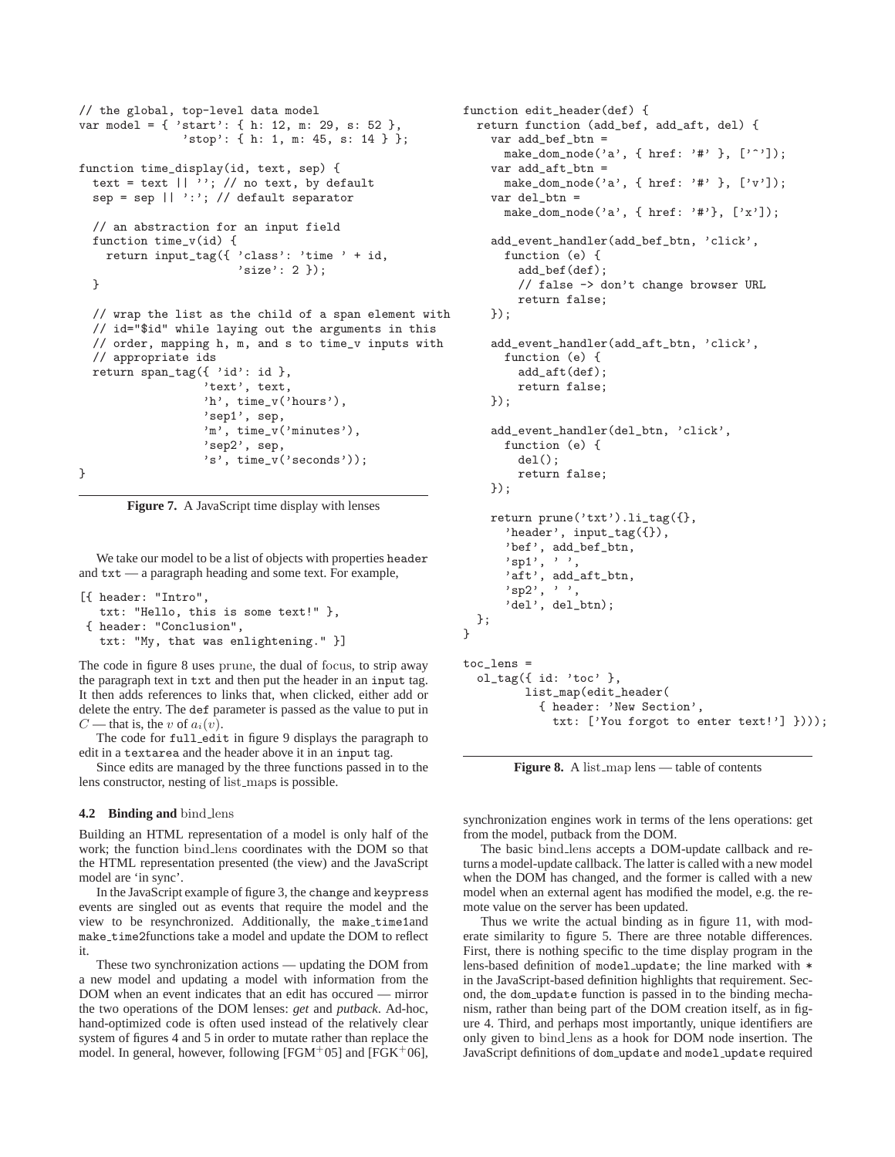```
// the global, top-level data model
var model = { 'start': { h: 12, m: 29, s: 52 },
               'stop': { h: 1, m: 45, s: 14 } };
function time_display(id, text, sep) {
 text = text || \cdots || \cdots; // no text, by default
  sep = sep || ':'; // default separator
  // an abstraction for an input field
 function time_v(id) {
   return input_tag({ 'class': 'time ' + id,
                        'size': 2 });
 }
 // wrap the list as the child of a span element with
 // id="$id" while laying out the arguments in this
 // order, mapping h, m, and s to time_v inputs with
 // appropriate ids
 return span_tag({ 'id': id },
                  'text', text,
                  'h', time_v('hours'),
                  'sep1', sep,
                  'm', time_v('minutes'),
                  'sep2', sep,
                  's', time_v('seconds'));
}
```
**Figure 7.** A JavaScript time display with lenses

We take our model to be a list of objects with properties header and txt — a paragraph heading and some text. For example,

```
[{ header: "Intro",
  txt: "Hello, this is some text!" },
{ header: "Conclusion",
  txt: "My, that was enlightening." }]
```
The code in figure 8 uses prune, the dual of focus, to strip away the paragraph text in txt and then put the header in an input tag. It then adds references to links that, when clicked, either add or delete the entry. The def parameter is passed as the value to put in  $C$  — that is, the v of  $a_i(v)$ .

The code for full edit in figure 9 displays the paragraph to edit in a textarea and the header above it in an input tag.

Since edits are managed by the three functions passed in to the lens constructor, nesting of list maps is possible.

# **4.2 Binding and** bind lens

Building an HTML representation of a model is only half of the work; the function bind lens coordinates with the DOM so that the HTML representation presented (the view) and the JavaScript model are 'in sync'.

In the JavaScript example of figure 3, the change and keypress events are singled out as events that require the model and the view to be resynchronized. Additionally, the make time1and make time2functions take a model and update the DOM to reflect it.

These two synchronization actions — updating the DOM from a new model and updating a model with information from the DOM when an event indicates that an edit has occured — mirror the two operations of the DOM lenses: *get* and *putback*. Ad-hoc, hand-optimized code is often used instead of the relatively clear system of figures 4 and 5 in order to mutate rather than replace the model. In general, however, following  $[FGM^+05]$  and  $[FGK^+06]$ ,

```
function edit_header(def) {
  return function (add_bef, add_aft, del) {
    var add_bef_btn =
      make_dom_node('a', { href: '#' }, ['^']);
    var add_aft_btn =
      make_dom_node('a', { href: '#' }, [\}'\var del btn =make_dom_node('a', { href: '#'}, ['x']);
    add_event_handler(add_bef_btn, 'click',
      function (e) {
        add_bef(def);
        // false -> don't change browser URL
        return false;
    \}).
    add_event_handler(add_aft_btn, 'click',
      function (e) {
        add_aft(def);
        return false;
    });
    add_event_handler(del_btn, 'click',
      function (e) {
        del();
        return false;
    });
    return prune('txt').li_tag({},
      'header', input_tag({}),
      'bef', add_bef_btn,
      'sp1', '\overline{'},
      'aft', add_aft_btn,
      ^{\prime}\mathrm{sp2} , \, ' \, ',
      'del', del_btn);
  };
}
toc_lens =
  ol_tag({ id: 'toc' },
         list_map(edit_header(
           { header: 'New Section',
             txt: ['You forgot to enter text!'] })));
```
**Figure 8.** A list\_map lens — table of contents

synchronization engines work in terms of the lens operations: get from the model, putback from the DOM.

The basic bind lens accepts a DOM-update callback and returns a model-update callback. The latter is called with a new model when the DOM has changed, and the former is called with a new model when an external agent has modified the model, e.g. the remote value on the server has been updated.

Thus we write the actual binding as in figure 11, with moderate similarity to figure 5. There are three notable differences. First, there is nothing specific to the time display program in the lens-based definition of model update; the line marked with \* in the JavaScript-based definition highlights that requirement. Second, the dom update function is passed in to the binding mechanism, rather than being part of the DOM creation itself, as in figure 4. Third, and perhaps most importantly, unique identifiers are only given to bind lens as a hook for DOM node insertion. The JavaScript definitions of dom update and model update required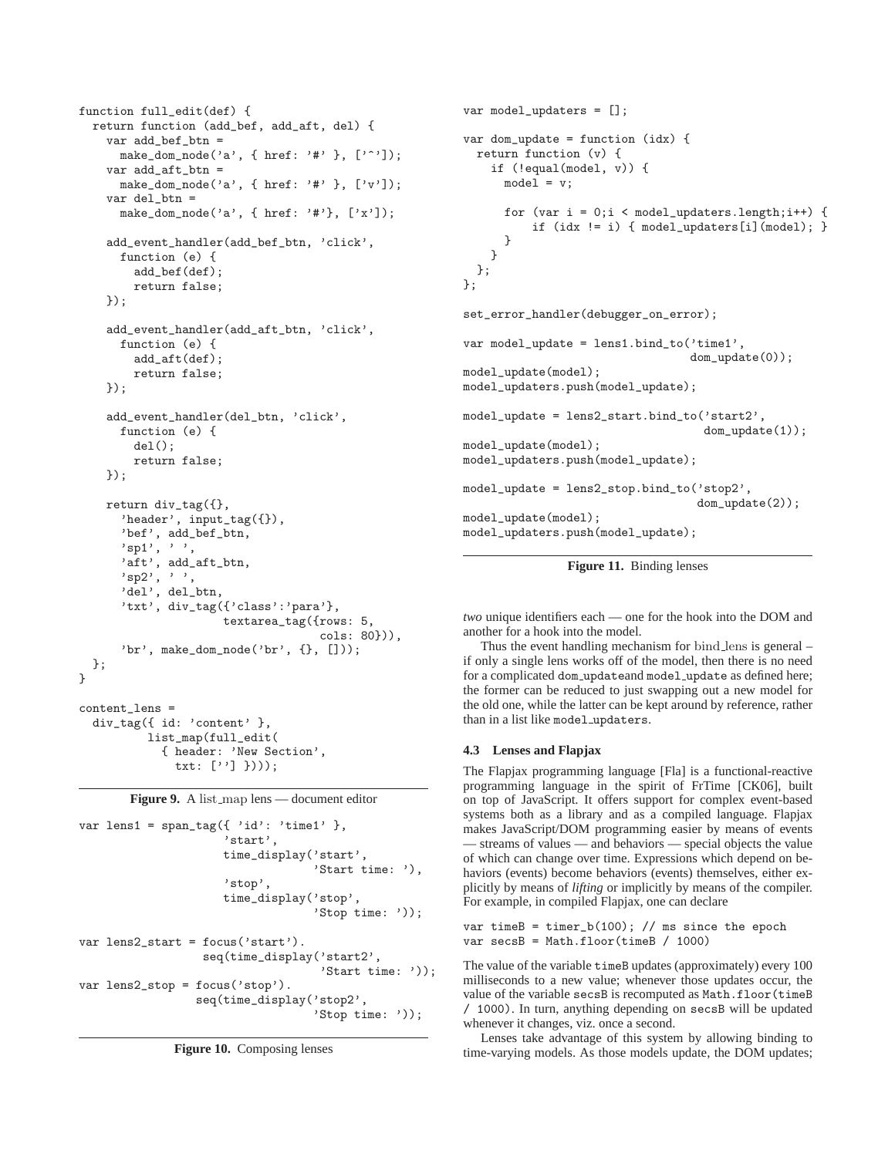```
function full_edit(def) {
  return function (add_bef, add_aft, del) {
    var add_bef_btn =
      make_dom_node('a', { href: '#' }, ['^{\sim}']);
    var add_aft_btn =
      make_dom_node('a', { href: '#' }, [\}'v']);
    var del_btn =
     make_dom_node('a', { href: '#'}, ['x']);
    add_event_handler(add_bef_btn, 'click',
      function (e) {
        add_bef(def);
        return false;
    });
    add_event_handler(add_aft_btn, 'click',
      function (e) {
        add_aft(def);
        return false;
    });
    add_event_handler(del_btn, 'click',
      function (e) {
        del();
        return false;
    });
    return div_tag({},
      'header', input_tag({}),
      'bef', add_bef_btn,
      '\,\mathrm{spl} ', ' ',
      'aft', add_aft_btn,
      'sp2', ' ',
      'del', del_btn,
      'txt', div_tag({'class':'para'},
                      textarea_tag({rows: 5,
                                    cols: 80})),
      'br', make_dom_node('br', \{\}, []));
 };
}
content_lens =
  div_tag({ id: 'content' },
```


{ header: 'New Section', txt: [''] })));

list\_map(full\_edit(

```
var lens1 = span_tag({ 'id': 'time1' },
                      'start',
                     time_display('start',
                                   'Start time: '),
                      'stop',
                      time_display('stop',
                                   'Stop time: '));
var lens2_start = focus('start').
                  seq(time_display('start2',
                                    'Start time: '));
var lens2_stop = focus('stop').
                 seq(time_display('stop2',
                                   'Stop time: '));
```


```
var model_updaters = [];
var dom_update = function (idx) {
 return function (v) {
    if (!equal(model, v)) {
      model = v;for (var i = 0; i \leq model_updaters.length;i^{++}) {
          if (idx != i) { model_updaters[i](model); }
      }
   }
 };
};
set_error_handler(debugger_on_error);
var model_update = lens1.bind_to('time1',
                                  dom_update(0));
model_update(model);
model_updaters.push(model_update);
model_update = lens2_start.bind_to('start2',
                                    dom_update(1));
model_update(model);
model_updaters.push(model_update);
model_update = lens2_stop.bind_to('stop2',
                                   dom_update(2));
model_update(model);
model_updaters.push(model_update);
```


*two* unique identifiers each — one for the hook into the DOM and another for a hook into the model.

Thus the event handling mechanism for bind lens is general – if only a single lens works off of the model, then there is no need for a complicated dom updateand model update as defined here; the former can be reduced to just swapping out a new model for the old one, while the latter can be kept around by reference, rather than in a list like model updaters.

## **4.3 Lenses and Flapjax**

The Flapjax programming language [Fla] is a functional-reactive programming language in the spirit of FrTime [CK06], built on top of JavaScript. It offers support for complex event-based systems both as a library and as a compiled language. Flapjax makes JavaScript/DOM programming easier by means of events — streams of values — and behaviors — special objects the value of which can change over time. Expressions which depend on behaviors (events) become behaviors (events) themselves, either explicitly by means of *lifting* or implicitly by means of the compiler. For example, in compiled Flapjax, one can declare

```
var timeB = timer_b(100); // ms since the epoch
var secsB = Math.floor(timeB / 1000)
```
The value of the variable timeB updates (approximately) every 100 milliseconds to a new value; whenever those updates occur, the value of the variable secsB is recomputed as Math.floor(timeB / 1000). In turn, anything depending on secsB will be updated whenever it changes, viz. once a second.

Lenses take advantage of this system by allowing binding to time-varying models. As those models update, the DOM updates;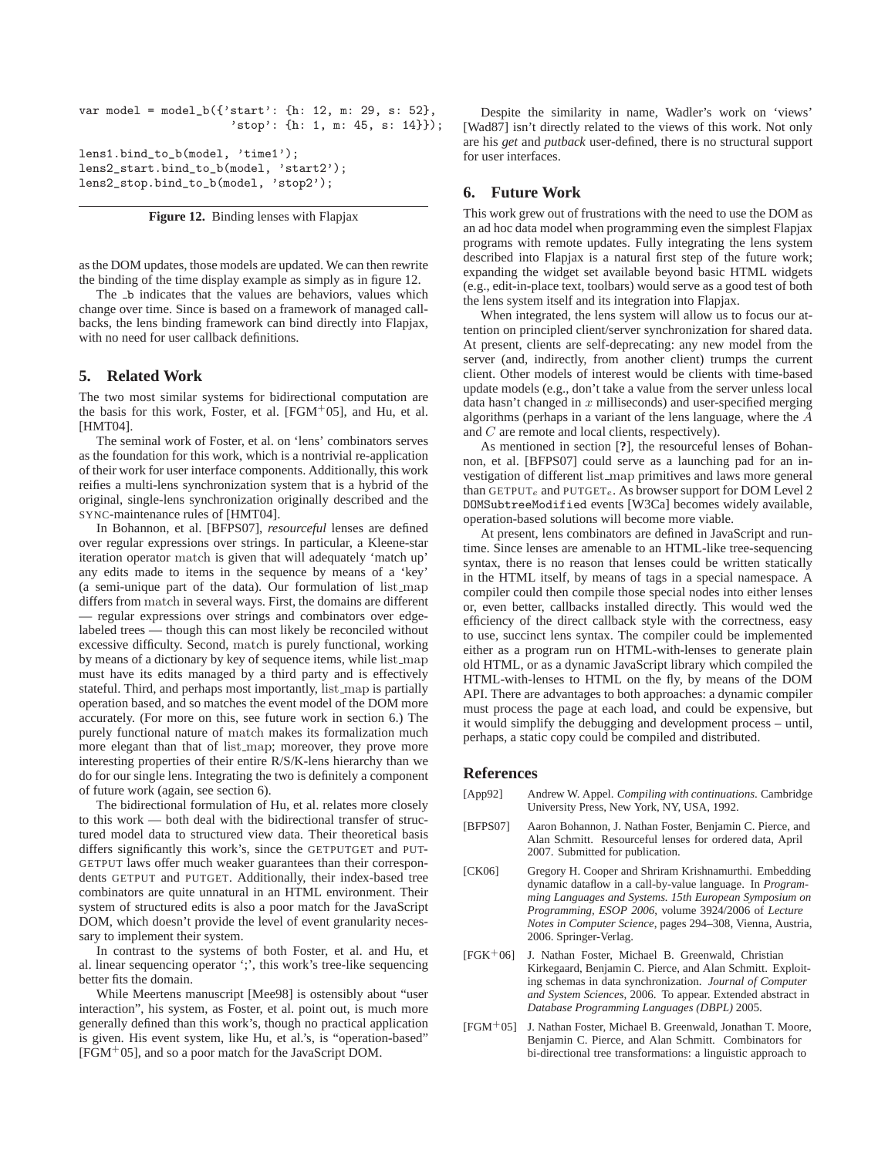```
var model = model_b(\{'start': \{h: 12, m: 29, s: 52\},\'stop': {h: 1, m: 45, s: 14}});
lens1.bind_to_b(model, 'time1');
lens2_start.bind_to_b(model, 'start2');
lens2_stop.bind_to_b(model, 'stop2');
```
**Figure 12.** Binding lenses with Flapjax

as the DOM updates, those models are updated. We can then rewrite the binding of the time display example as simply as in figure 12.

The L indicates that the values are behaviors, values which change over time. Since is based on a framework of managed callbacks, the lens binding framework can bind directly into Flapjax, with no need for user callback definitions.

# **5. Related Work**

The two most similar systems for bidirectional computation are the basis for this work, Foster, et al. [FGM $+$ 05], and Hu, et al. [HMT04].

The seminal work of Foster, et al. on 'lens' combinators serves as the foundation for this work, which is a nontrivial re-application of their work for user interface components. Additionally, this work reifies a multi-lens synchronization system that is a hybrid of the original, single-lens synchronization originally described and the SYNC-maintenance rules of [HMT04].

In Bohannon, et al. [BFPS07], *resourceful* lenses are defined over regular expressions over strings. In particular, a Kleene-star iteration operator match is given that will adequately 'match up' any edits made to items in the sequence by means of a 'key' (a semi-unique part of the data). Our formulation of list map differs from match in several ways. First, the domains are different — regular expressions over strings and combinators over edgelabeled trees — though this can most likely be reconciled without excessive difficulty. Second, match is purely functional, working by means of a dictionary by key of sequence items, while list map must have its edits managed by a third party and is effectively stateful. Third, and perhaps most importantly, list map is partially operation based, and so matches the event model of the DOM more accurately. (For more on this, see future work in section 6.) The purely functional nature of match makes its formalization much more elegant than that of list map; moreover, they prove more interesting properties of their entire R/S/K-lens hierarchy than we do for our single lens. Integrating the two is definitely a component of future work (again, see section 6).

The bidirectional formulation of Hu, et al. relates more closely to this work — both deal with the bidirectional transfer of structured model data to structured view data. Their theoretical basis differs significantly this work's, since the GETPUTGET and PUT-GETPUT laws offer much weaker guarantees than their correspondents GETPUT and PUTGET. Additionally, their index-based tree combinators are quite unnatural in an HTML environment. Their system of structured edits is also a poor match for the JavaScript DOM, which doesn't provide the level of event granularity necessary to implement their system.

In contrast to the systems of both Foster, et al. and Hu, et al. linear sequencing operator ';', this work's tree-like sequencing better fits the domain.

While Meertens manuscript [Mee98] is ostensibly about "user interaction", his system, as Foster, et al. point out, is much more generally defined than this work's, though no practical application is given. His event system, like Hu, et al.'s, is "operation-based" [FGM<sup>+</sup>05], and so a poor match for the JavaScript DOM.

Despite the similarity in name, Wadler's work on 'views' [Wad87] isn't directly related to the views of this work. Not only are his *get* and *putback* user-defined, there is no structural support for user interfaces.

## **6. Future Work**

This work grew out of frustrations with the need to use the DOM as an ad hoc data model when programming even the simplest Flapjax programs with remote updates. Fully integrating the lens system described into Flapjax is a natural first step of the future work; expanding the widget set available beyond basic HTML widgets (e.g., edit-in-place text, toolbars) would serve as a good test of both the lens system itself and its integration into Flapjax.

When integrated, the lens system will allow us to focus our attention on principled client/server synchronization for shared data. At present, clients are self-deprecating: any new model from the server (and, indirectly, from another client) trumps the current client. Other models of interest would be clients with time-based update models (e.g., don't take a value from the server unless local data hasn't changed in  $x$  milliseconds) and user-specified merging algorithms (perhaps in a variant of the lens language, where the A and C are remote and local clients, respectively).

As mentioned in section [**?**], the resourceful lenses of Bohannon, et al. [BFPS07] could serve as a launching pad for an investigation of different list map primitives and laws more general than GETPUT<sub>e</sub> and PUTGET<sub>e</sub>. As browser support for DOM Level 2 DOMSubtreeModified events [W3Ca] becomes widely available, operation-based solutions will become more viable.

At present, lens combinators are defined in JavaScript and runtime. Since lenses are amenable to an HTML-like tree-sequencing syntax, there is no reason that lenses could be written statically in the HTML itself, by means of tags in a special namespace. A compiler could then compile those special nodes into either lenses or, even better, callbacks installed directly. This would wed the efficiency of the direct callback style with the correctness, easy to use, succinct lens syntax. The compiler could be implemented either as a program run on HTML-with-lenses to generate plain old HTML, or as a dynamic JavaScript library which compiled the HTML-with-lenses to HTML on the fly, by means of the DOM API. There are advantages to both approaches: a dynamic compiler must process the page at each load, and could be expensive, but it would simplify the debugging and development process – until, perhaps, a static copy could be compiled and distributed.

## **References**

- [App92] Andrew W. Appel. *Compiling with continuations*. Cambridge University Press, New York, NY, USA, 1992.
- [BFPS07] Aaron Bohannon, J. Nathan Foster, Benjamin C. Pierce, and Alan Schmitt. Resourceful lenses for ordered data, April 2007. Submitted for publication.
- [CK06] Gregory H. Cooper and Shriram Krishnamurthi. Embedding dynamic dataflow in a call-by-value language. In *Programming Languages and Systems. 15th European Symposium on Programming, ESOP 2006*, volume 3924/2006 of *Lecture Notes in Computer Science*, pages 294–308, Vienna, Austria, 2006. Springer-Verlag.
- [FGK+06] J. Nathan Foster, Michael B. Greenwald, Christian Kirkegaard, Benjamin C. Pierce, and Alan Schmitt. Exploiting schemas in data synchronization. *Journal of Computer and System Sciences*, 2006. To appear. Extended abstract in *Database Programming Languages (DBPL)* 2005.
- [FGM+05] J. Nathan Foster, Michael B. Greenwald, Jonathan T. Moore, Benjamin C. Pierce, and Alan Schmitt. Combinators for bi-directional tree transformations: a linguistic approach to